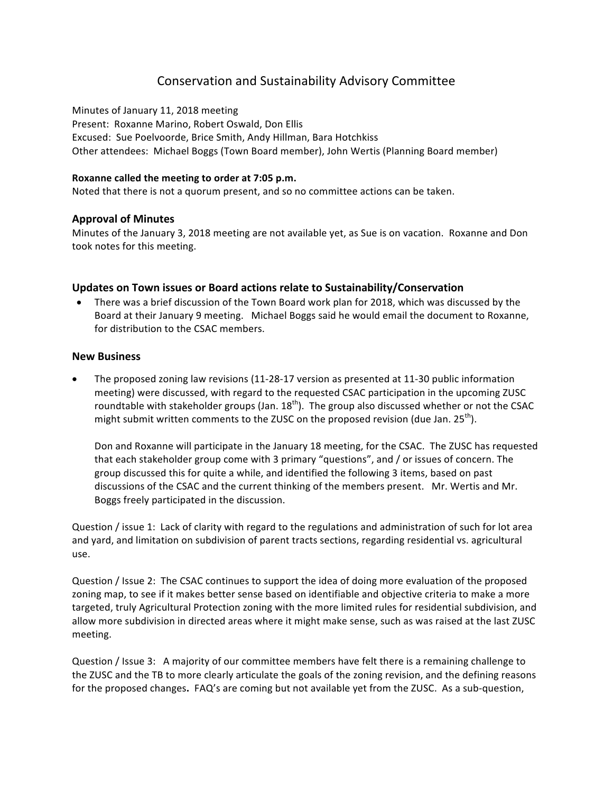# Conservation and Sustainability Advisory Committee

Minutes of January 11, 2018 meeting Present: Roxanne Marino, Robert Oswald, Don Ellis Excused: Sue Poelvoorde, Brice Smith, Andy Hillman, Bara Hotchkiss Other attendees: Michael Boggs (Town Board member), John Wertis (Planning Board member)

#### **Roxanne called the meeting to order at 7:05 p.m.**

Noted that there is not a quorum present, and so no committee actions can be taken.

# **Approval of Minutes**

Minutes of the January 3, 2018 meeting are not available yet, as Sue is on vacation. Roxanne and Don took notes for this meeting.

# Updates on Town issues or Board actions relate to Sustainability/Conservation

• There was a brief discussion of the Town Board work plan for 2018, which was discussed by the Board at their January 9 meeting. Michael Boggs said he would email the document to Roxanne, for distribution to the CSAC members.

#### **New Business**

The proposed zoning law revisions (11-28-17 version as presented at 11-30 public information meeting) were discussed, with regard to the requested CSAC participation in the upcoming ZUSC roundtable with stakeholder groups (Jan.  $18<sup>th</sup>$ ). The group also discussed whether or not the CSAC might submit written comments to the ZUSC on the proposed revision (due Jan.  $25^{th}$ ).

Don and Roxanne will participate in the January 18 meeting, for the CSAC. The ZUSC has requested that each stakeholder group come with 3 primary "questions", and / or issues of concern. The group discussed this for quite a while, and identified the following 3 items, based on past discussions of the CSAC and the current thinking of the members present. Mr. Wertis and Mr. Boggs freely participated in the discussion.

Question / issue 1: Lack of clarity with regard to the regulations and administration of such for lot area and yard, and limitation on subdivision of parent tracts sections, regarding residential vs. agricultural use.

Question / Issue 2: The CSAC continues to support the idea of doing more evaluation of the proposed zoning map, to see if it makes better sense based on identifiable and objective criteria to make a more targeted, truly Agricultural Protection zoning with the more limited rules for residential subdivision, and allow more subdivision in directed areas where it might make sense, such as was raised at the last ZUSC meeting.

Question / Issue 3: A majority of our committee members have felt there is a remaining challenge to the ZUSC and the TB to more clearly articulate the goals of the zoning revision, and the defining reasons for the proposed changes. FAQ's are coming but not available yet from the ZUSC. As a sub-question,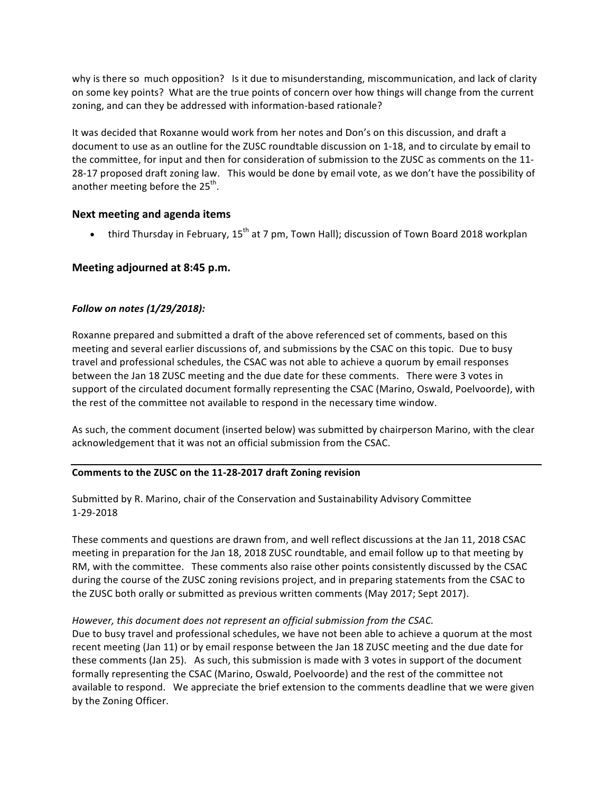why is there so much opposition? Is it due to misunderstanding, miscommunication, and lack of clarity on some key points? What are the true points of concern over how things will change from the current zoning, and can they be addressed with information-based rationale?

It was decided that Roxanne would work from her notes and Don's on this discussion, and draft a document to use as an outline for the ZUSC roundtable discussion on 1-18, and to circulate by email to the committee, for input and then for consideration of submission to the ZUSC as comments on the 11-28-17 proposed draft zoning law. This would be done by email vote, as we don't have the possibility of another meeting before the  $25<sup>th</sup>$ .

# **Next meeting and agenda items**

• third Thursday in February,  $15<sup>th</sup>$  at 7 pm, Town Hall); discussion of Town Board 2018 workplan

# **Meeting adjourned at 8:45 p.m.**

# *Follow on notes (1/29/2018):*

Roxanne prepared and submitted a draft of the above referenced set of comments, based on this meeting and several earlier discussions of, and submissions by the CSAC on this topic. Due to busy travel and professional schedules, the CSAC was not able to achieve a quorum by email responses between the Jan 18 ZUSC meeting and the due date for these comments. There were 3 votes in support of the circulated document formally representing the CSAC (Marino, Oswald, Poelvoorde), with the rest of the committee not available to respond in the necessary time window.

As such, the comment document (inserted below) was submitted by chairperson Marino, with the clear acknowledgement that it was not an official submission from the CSAC.

# Comments to the ZUSC on the 11-28-2017 draft Zoning revision

Submitted by R. Marino, chair of the Conservation and Sustainability Advisory Committee 1-29-2018

These comments and questions are drawn from, and well reflect discussions at the Jan 11, 2018 CSAC meeting in preparation for the Jan 18, 2018 ZUSC roundtable, and email follow up to that meeting by RM, with the committee. These comments also raise other points consistently discussed by the CSAC during the course of the ZUSC zoning revisions project, and in preparing statements from the CSAC to the ZUSC both orally or submitted as previous written comments (May 2017; Sept 2017).

# *However, this document does not represent an official submission from the CSAC.*

Due to busy travel and professional schedules, we have not been able to achieve a quorum at the most recent meeting (Jan 11) or by email response between the Jan 18 ZUSC meeting and the due date for these comments (Jan 25). As such, this submission is made with 3 votes in support of the document formally representing the CSAC (Marino, Oswald, Poelvoorde) and the rest of the committee not available to respond. We appreciate the brief extension to the comments deadline that we were given by the Zoning Officer.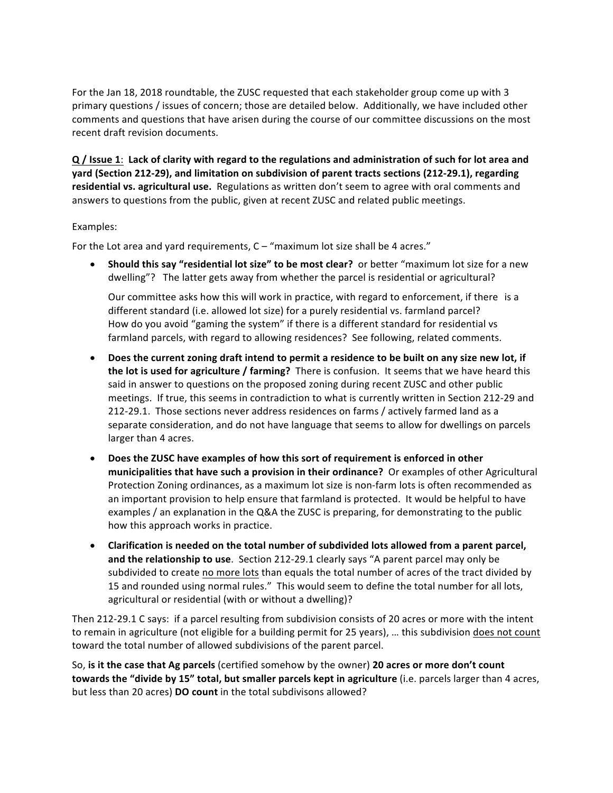For the Jan 18, 2018 roundtable, the ZUSC requested that each stakeholder group come up with 3 primary questions / issues of concern; those are detailed below. Additionally, we have included other comments and questions that have arisen during the course of our committee discussions on the most recent draft revision documents.

**Q** / Issue 1: Lack of clarity with regard to the regulations and administration of such for lot area and **yard (Section 212-29), and limitation on subdivision of parent tracts sections (212-29.1), regarding** residential vs. agricultural use. Regulations as written don't seem to agree with oral comments and answers to questions from the public, given at recent ZUSC and related public meetings.

# Examples:

For the Lot area and vard requirements,  $C -$  "maximum lot size shall be 4 acres."

**Should this say "residential lot size" to be most clear?** or better "maximum lot size for a new dwelling"? The latter gets away from whether the parcel is residential or agricultural?

Our committee asks how this will work in practice, with regard to enforcement, if there is a different standard (i.e. allowed lot size) for a purely residential vs. farmland parcel? How do you avoid "gaming the system" if there is a different standard for residential vs farmland parcels, with regard to allowing residences? See following, related comments.

- Does the current zoning draft intend to permit a residence to be built on any size new lot, if **the lot is used for agriculture / farming?** There is confusion. It seems that we have heard this said in answer to questions on the proposed zoning during recent ZUSC and other public meetings. If true, this seems in contradiction to what is currently written in Section 212-29 and 212-29.1. Those sections never address residences on farms / actively farmed land as a separate consideration, and do not have language that seems to allow for dwellings on parcels larger than 4 acres.
- Does the ZUSC have examples of how this sort of requirement is enforced in other **municipalities that have such a provision in their ordinance?** Or examples of other Agricultural Protection Zoning ordinances, as a maximum lot size is non-farm lots is often recommended as an important provision to help ensure that farmland is protected. It would be helpful to have examples / an explanation in the Q&A the ZUSC is preparing, for demonstrating to the public how this approach works in practice.
- Clarification is needed on the total number of subdivided lots allowed from a parent parcel, **and the relationship to use**. Section 212-29.1 clearly says "A parent parcel may only be subdivided to create no more lots than equals the total number of acres of the tract divided by 15 and rounded using normal rules." This would seem to define the total number for all lots, agricultural or residential (with or without a dwelling)?

Then 212-29.1 C says: if a parcel resulting from subdivision consists of 20 acres or more with the intent to remain in agriculture (not eligible for a building permit for 25 years), ... this subdivision does not count toward the total number of allowed subdivisions of the parent parcel.

So, is it the case that Ag parcels (certified somehow by the owner) 20 acres or more don't count **towards the "divide by 15" total, but smaller parcels kept in agriculture (i.e. parcels larger than 4 acres,** but less than 20 acres) **DO count** in the total subdivisons allowed?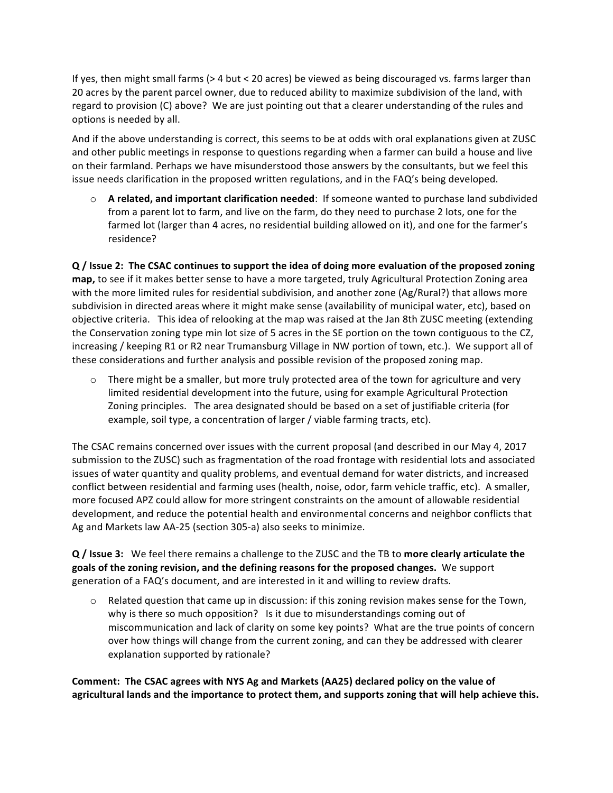If yes, then might small farms  $(> 4$  but  $< 20$  acres) be viewed as being discouraged vs. farms larger than 20 acres by the parent parcel owner, due to reduced ability to maximize subdivision of the land, with regard to provision (C) above? We are just pointing out that a clearer understanding of the rules and options is needed by all.

And if the above understanding is correct, this seems to be at odds with oral explanations given at ZUSC and other public meetings in response to questions regarding when a farmer can build a house and live on their farmland. Perhaps we have misunderstood those answers by the consultants, but we feel this issue needs clarification in the proposed written regulations, and in the FAQ's being developed.

 $\circ$  **A** related, and important clarification needed: If someone wanted to purchase land subdivided from a parent lot to farm, and live on the farm, do they need to purchase 2 lots, one for the farmed lot (larger than 4 acres, no residential building allowed on it), and one for the farmer's residence? 

**Q** / Issue 2: The CSAC continues to support the idea of doing more evaluation of the proposed zoning **map**, to see if it makes better sense to have a more targeted, truly Agricultural Protection Zoning area with the more limited rules for residential subdivision, and another zone (Ag/Rural?) that allows more subdivision in directed areas where it might make sense (availability of municipal water, etc), based on objective criteria. This idea of relooking at the map was raised at the Jan 8th ZUSC meeting (extending the Conservation zoning type min lot size of 5 acres in the SE portion on the town contiguous to the CZ, increasing / keeping R1 or R2 near Trumansburg Village in NW portion of town, etc.). We support all of these considerations and further analysis and possible revision of the proposed zoning map.

 $\circ$  There might be a smaller, but more truly protected area of the town for agriculture and very limited residential development into the future, using for example Agricultural Protection Zoning principles. The area designated should be based on a set of justifiable criteria (for example, soil type, a concentration of larger / viable farming tracts, etc).

The CSAC remains concerned over issues with the current proposal (and described in our May 4, 2017 submission to the ZUSC) such as fragmentation of the road frontage with residential lots and associated issues of water quantity and quality problems, and eventual demand for water districts, and increased conflict between residential and farming uses (health, noise, odor, farm vehicle traffic, etc). A smaller, more focused APZ could allow for more stringent constraints on the amount of allowable residential development, and reduce the potential health and environmental concerns and neighbor conflicts that Ag and Markets law AA-25 (section 305-a) also seeks to minimize.

**Q** / Issue 3: We feel there remains a challenge to the ZUSC and the TB to more clearly articulate the goals of the zoning revision, and the defining reasons for the proposed changes. We support generation of a FAQ's document, and are interested in it and willing to review drafts.

 $\circ$  Related question that came up in discussion: if this zoning revision makes sense for the Town, why is there so much opposition? Is it due to misunderstandings coming out of miscommunication and lack of clarity on some key points? What are the true points of concern over how things will change from the current zoning, and can they be addressed with clearer explanation supported by rationale?

Comment: The CSAC agrees with NYS Ag and Markets (AA25) declared policy on the value of agricultural lands and the importance to protect them, and supports zoning that will help achieve this.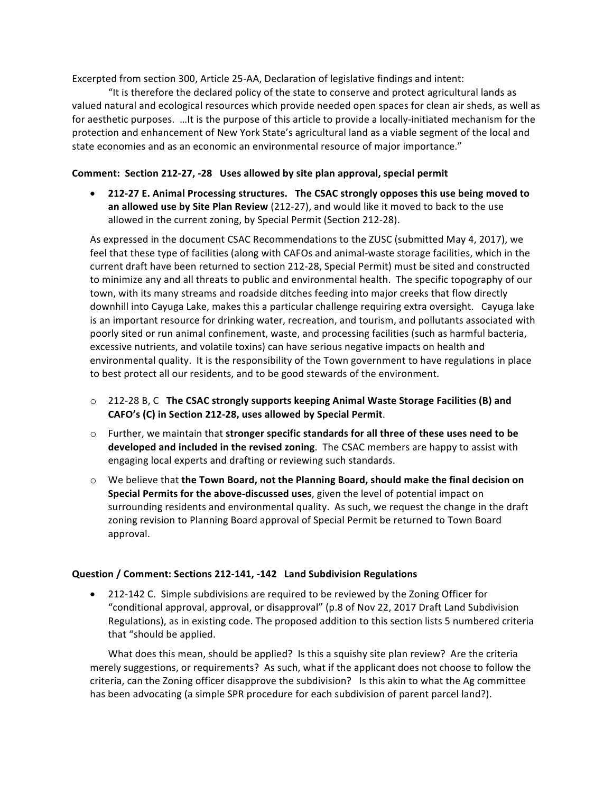Excerpted from section 300, Article 25-AA, Declaration of legislative findings and intent:

"It is therefore the declared policy of the state to conserve and protect agricultural lands as valued natural and ecological resources which provide needed open spaces for clean air sheds, as well as for aesthetic purposes. ...It is the purpose of this article to provide a locally-initiated mechanism for the protection and enhancement of New York State's agricultural land as a viable segment of the local and state economies and as an economic an environmental resource of major importance."

# **Comment: Section 212-27, -28 Uses allowed by site plan approval, special permit**

• 212-27 E. Animal Processing structures. The CSAC strongly opposes this use being moved to **an allowed use by Site Plan Review** (212-27), and would like it moved to back to the use allowed in the current zoning, by Special Permit (Section 212-28).

As expressed in the document CSAC Recommendations to the ZUSC (submitted May 4, 2017), we feel that these type of facilities (along with CAFOs and animal-waste storage facilities, which in the current draft have been returned to section 212-28, Special Permit) must be sited and constructed to minimize any and all threats to public and environmental health. The specific topography of our town, with its many streams and roadside ditches feeding into major creeks that flow directly downhill into Cayuga Lake, makes this a particular challenge requiring extra oversight. Cayuga lake is an important resource for drinking water, recreation, and tourism, and pollutants associated with poorly sited or run animal confinement, waste, and processing facilities (such as harmful bacteria, excessive nutrients, and volatile toxins) can have serious negative impacts on health and environmental quality. It is the responsibility of the Town government to have regulations in place to best protect all our residents, and to be good stewards of the environment.

- $\circ$  212-28 B, C The CSAC strongly supports keeping Animal Waste Storage Facilities (B) and CAFO's (C) in Section 212-28, uses allowed by Special Permit.
- $\circ$  Further, we maintain that **stronger specific standards for all three of these uses need to be developed and included in the revised zoning.** The CSAC members are happy to assist with engaging local experts and drafting or reviewing such standards.
- $\circ$  We believe that **the Town Board, not the Planning Board, should make the final decision on Special Permits for the above-discussed uses**, given the level of potential impact on surrounding residents and environmental quality. As such, we request the change in the draft zoning revision to Planning Board approval of Special Permit be returned to Town Board approval.

# **Question / Comment: Sections 212-141, -142 Land Subdivision Regulations**

• 212-142 C. Simple subdivisions are required to be reviewed by the Zoning Officer for "conditional approval, approval, or disapproval" (p.8 of Nov 22, 2017 Draft Land Subdivision Regulations), as in existing code. The proposed addition to this section lists 5 numbered criteria that "should be applied.

What does this mean, should be applied? Is this a squishy site plan review? Are the criteria merely suggestions, or requirements? As such, what if the applicant does not choose to follow the criteria, can the Zoning officer disapprove the subdivision? Is this akin to what the Ag committee has been advocating (a simple SPR procedure for each subdivision of parent parcel land?).